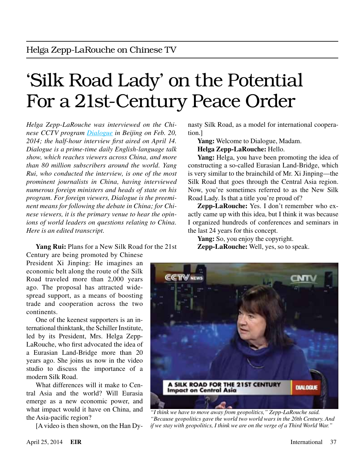# 'Silk Road Lady' on the Potential For a 21st-Century Peace Order

*Helga Zepp-LaRouche was interviewed on the Chinese CCTV program [Dialogue](https://www.youtube.com/watch?v=uMP1IEQMUWgDialogue) in Beijing on Feb. 20, 2014; the half-hour interview first aired on April 14. Dialogue is a prime-time daily English-language talk show, which reaches viewers across China, and more than 80 million subscribers around the world. Yang Rui, who conducted the interview, is one of the most prominent journalists in China, having interviewed numerous foreign ministers and heads of state on his program. For foreign viewers, Dialogue is the preeminent means for following the debate in China; for Chinese viewers, it is the primary venue to hear the opinions of world leaders on questions relating to China. Here is an edited transcript.*

**Yang Rui:** Plans for a New Silk Road for the 21st

Century are being promoted by Chinese President Xi Jinping: He imagines an economic belt along the route of the Silk Road traveled more than 2,000 years ago. The proposal has attracted widespread support, as a means of boosting trade and cooperation across the two continents.

One of the keenest supporters is an international thinktank, the Schiller Institute, led by its President, Mrs. Helga Zepp-LaRouche, who first advocated the idea of a Eurasian Land-Bridge more than 20 years ago. She joins us now in the video studio to discuss the importance of a modern Silk Road.

What differences will it make to Central Asia and the world? Will Eurasia emerge as a new economic power, and what impact would it have on China, and the Asia-pacific region?

[A video is then shown, on the Han Dy-

nasty Silk Road, as a model for international cooperation.]

**Yang:** Welcome to Dialogue, Madam.

**Helga Zepp-LaRouche:** Hello.

**Yang:** Helga, you have been promoting the idea of constructing a so-called Eurasian Land-Bridge, which is very similar to the brainchild of Mr. Xi Jinping—the Silk Road that goes through the Central Asia region. Now, you're sometimes referred to as the New Silk Road Lady. Is that a title you're proud of?

**Zepp-LaRouche:** Yes. I don't remember who exactly came up with this idea, but I think it was because I organized hundreds of conferences and seminars in the last 24 years for this concept.

Yang: So, you enjoy the copyright.

**Zepp-LaRouche:** Well, yes, so to speak.



*"I think we have to move away from geopolitics," Zepp-LaRouche said. "Because geopolitics gave the world two world wars in the 20th Century. And if we stay with geopolitics, I think we are on the verge of a Third World War."*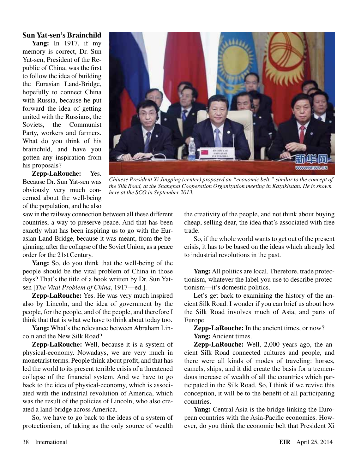#### **Sun Yat-sen's Brainchild**

**Yang:** In 1917, if my memory is correct, Dr. Sun Yat-sen, President of the Republic of China, was the first to follow the idea of building the Eurasian Land-Bridge, hopefully to connect China with Russia, because he put forward the idea of getting united with the Russians, the Soviets, the Communist Party, workers and farmers. What do you think of his brainchild, and have you gotten any inspiration from his proposals?

**Zepp-LaRouche:** Yes. Because Dr. Sun Yat-sen was obviously very much concerned about the well-being of the population, and he also



*Chinese President Xi Jingping (center) proposed an "economic belt," similar to the concept of the Silk Road, at the Shanghai Cooperation Organization meeting in Kazakhstan. He is shown here at the SCO in September 2013.*

saw in the railway connection between all these different countries, a way to preserve peace. And that has been exactly what has been inspiring us to go with the Eurasian Land-Bridge, because it was meant, from the beginning, after the collapse of the Soviet Union, as a peace order for the 21st Century.

**Yang:** So, do you think that the well-being of the people should be the vital problem of China in those days? That's the title of a book written by Dr. Sun Yatsen [*The Vital Problem of China*, 1917—ed.].

**Zepp-LaRouche:** Yes. He was very much inspired also by Lincoln, and the idea of government by the people, for the people, and of the people, and therefore I think that that is what we have to think about today too.

**Yang:** What's the relevance between Abraham Lincoln and the New Silk Road?

**Zepp-LaRouche:** Well, because it is a system of physical-economy. Nowadays, we are very much in monetarist terms. People think about profit, and that has led the world to its present terrible crisis of a threatened collapse of the financial system. And we have to go back to the idea of physical-economy, which is associated with the industrial revolution of America, which was the result of the policies of Lincoln, who also created a land-bridge across America.

So, we have to go back to the ideas of a system of protectionism, of taking as the only source of wealth

the creativity of the people, and not think about buying cheap, selling dear, the idea that's associated with free trade.

So, if the whole world wants to get out of the present crisis, it has to be based on the ideas which already led to industrial revolutions in the past.

Yang: All politics are local. Therefore, trade protectionism, whatever the label you use to describe protectionism—it's domestic politics.

Let's get back to examining the history of the ancient Silk Road. I wonder if you can brief us about how the Silk Road involves much of Asia, and parts of Europe.

**Zepp-LaRouche:** In the ancient times, or now? **Yang:** Ancient times.

**Zepp-LaRouche:** Well, 2,000 years ago, the ancient Silk Road connected cultures and people, and there were all kinds of modes of traveling: horses, camels, ships; and it did create the basis for a tremendous increase of wealth of all the countries which participated in the Silk Road. So, I think if we revive this conception, it will be to the benefit of all participating countries.

**Yang:** Central Asia is the bridge linking the European countries with the Asia-Pacific economies. However, do you think the economic belt that President Xi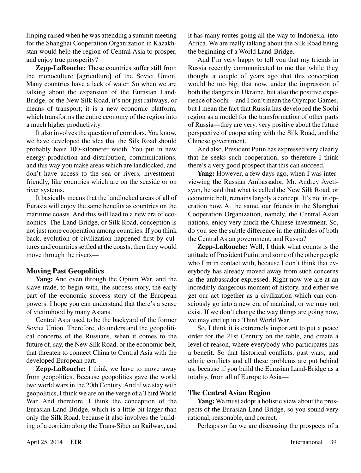Jinping raised when he was attending a summit meeting for the Shanghai Cooperation Organization in Kazakhstan would help the region of Central Asia to prosper, and enjoy true prosperity?

**Zepp-LaRouche:** These countries suffer still from the monoculture [agriculture] of the Soviet Union. Many countries have a lack of water. So when we are talking about the expansion of the Eurasian Land-Bridge, or the New Silk Road, it's not just railways, or means of transport; it is a new economic platform, which transforms the entire economy of the region into a much higher productivity.

It also involves the question of corridors. You know, we have developed the idea that the Silk Road should probably have 100-kilometer width. You put in new energy production and distribution, communications, and this way you make areas which are landlocked, and don't have access to the sea or rivers, investmentfriendly, like countries which are on the seaside or on river systems.

It basically means that the landlocked areas of all of Eurasia will enjoy the same benefits as countries on the maritime coasts. And this will lead to a new era of economics. The Land-Bridge, or Silk Road, conception is not just more cooperation among countries. If you think back, evolution of civilization happened first by cultures and countries settled at the coasts; then they would move through the rivers—

### **Moving Past Geopolitics**

**Yang:** And even through the Opium War, and the slave trade, to begin with, the success story, the early part of the economic success story of the European powers. I hope you can understand that there's a sense of victimhood by many Asians.

Central Asia used to be the backyard of the former Soviet Union. Therefore, do understand the geopolitical concerns of the Russians, when it comes to the future of, say, the New Silk Road, or the economic belt, that threaten to connect China to Central Asia with the developed European part.

**Zepp-LaRouche:** I think we have to move away from geopolitics. Because geopolitics gave the world two world wars in the 20th Century. And if we stay with geopolitics, I think we are on the verge of a Third World War. And therefore, I think the conception of the Eurasian Land-Bridge, which is a little bit larger than only the Silk Road, because it also involves the building of a corridor along the Trans-Siberian Railway, and it has many routes going all the way to Indonesia, into Africa. We are really talking about the Silk Road being the beginning of a World Land-Bridge.

And I'm very happy to tell you that my friends in Russia recently communicated to me that while they thought a couple of years ago that this conception would be too big, that now, under the impression of both the dangers in Ukraine, but also the positive experience of Sochi—and I don't mean the Olympic Games, but I mean the fact that Russia has developed the Sochi region as a model for the transformation of other parts of Russia—they are very, very positive about the future perspective of cooperating with the Silk Road, and the Chinese government.

And also, President Putin has expressed very clearly that he seeks such cooperation, so therefore I think there's a very good prospect that this can succeed.

**Yang:** However, a few days ago, when I was interviewing the Russian Ambassador, Mr. Andrey Avetisyan, he said that what is called the New Silk Road, or economic belt, remains largely a concept. It's not in operation now. At the same, our friends in the Shanghai Cooperation Organization, namely, the Central Asian nations, enjoy very much the Chinese investment. So, do you see the subtle difference in the attitudes of both the Central Asian government, and Russia?

**Zepp-LaRouche:** Well, I think what counts is the attitude of President Putin, and some of the other people who I'm in contact with, because I don't think that everybody has already moved away from such concerns as the ambassador expressed. Right now we are at an incredibly dangerous moment of history, and either we get our act together as a civilization which can consciously go into a new era of mankind, or we may not exist. If we don't change the way things are going now, we may end up in a Third World War.

So, I think it is extremely important to put a peace order for the 21st Century on the table, and create a level of reason, where everybody who participates has a benefit. So that historical conflicts, past wars, and ethnic conflicts and all these problems are put behind us, because if you build the Eurasian Land-Bridge as a totality, from all of Europe to Asia—

### **The Central Asian Region**

**Yang:** We must adopt a holistic view about the prospects of the Eurasian Land-Bridge, so you sound very rational, reasonable, and correct.

Perhaps so far we are discussing the prospects of a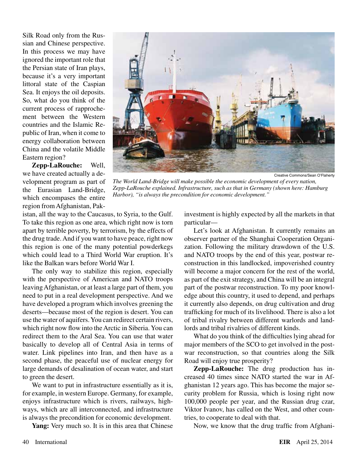Silk Road only from the Russian and Chinese perspective. In this process we may have ignored the important role that the Persian state of Iran plays, because it's a very important littoral state of the Caspian Sea. It enjoys the oil deposits. So, what do you think of the current process of rapprochement between the Western countries and the Islamic Republic of Iran, when it come to energy collaboration between China and the volatile Middle Eastern region?

**Zepp-LaRouche:** Well, we have created actually a development program as part of the Eurasian Land-Bridge, which encompases the entire region from Afghanistan, Pak-



*The World Land-Bridge will make possible the economic development of every nation, Zepp-LaRouche explained. Infrastructure, such as that in Germany (shown here: Hamburg Harbor), "is always the precondition for economic development."*

istan, all the way to the Caucasus, to Syria, to the Gulf. To take this region as one area, which right now is torn apart by terrible poverty, by terrorism, by the effects of the drug trade. And if you want to have peace, right now this region is one of the many potential powderkegs which could lead to a Third World War eruption. It's like the Balkan wars before World War I.

The only way to stabilize this region, especially with the perspective of American and NATO troops leaving Afghanistan, or at least a large part of them, you need to put in a real development perspective. And we have developed a program which involves greening the deserts—because most of the region is desert. You can use the water of aquifers. You can redirect certain rivers, which right now flow into the Arctic in Siberia. You can redirect them to the Aral Sea. You can use that water basically to develop all of Central Asia in terms of water. Link pipelines into Iran, and then have as a second phase, the peaceful use of nuclear energy for large demands of desalination of ocean water, and start to green the desert.

We want to put in infrastructure essentially as it is, for example, in western Europe. Germany, for example, enjoys infrastructure which is rivers, railways, highways, which are all interconnected, and infrastructure is always the precondition for economic development.

**Yang:** Very much so. It is in this area that Chinese

investment is highly expected by all the markets in that particular—

Let's look at Afghanistan. It currently remains an observer partner of the Shanghai Cooperation Organization. Following the military drawdown of the U.S. and NATO troops by the end of this year, postwar reconstruction in this landlocked, impoverished country will become a major concern for the rest of the world, as part of the exit strategy, and China will be an integral part of the postwar reconstruction. To my poor knowledge about this country, it used to depend, and perhaps it currently also depends, on drug cultivation and drug trafficking for much of its livelihood. There is also a lot of tribal rivalry between different warlords and landlords and tribal rivalries of different kinds.

What do you think of the difficulties lying ahead for major members of the SCO to get involved in the postwar reconstruction, so that countries along the Silk Road will enjoy true prosperity?

**Zepp-LaRouche:** The drug production has increased 40 times since NATO started the war in Afghanistan 12 years ago. This has become the major security problem for Russia, which is losing right now 100,000 people per year, and the Russian drug czar, Viktor Ivanov, has called on the West, and other countries, to cooperate to deal with that.

Now, we know that the drug traffic from Afghani-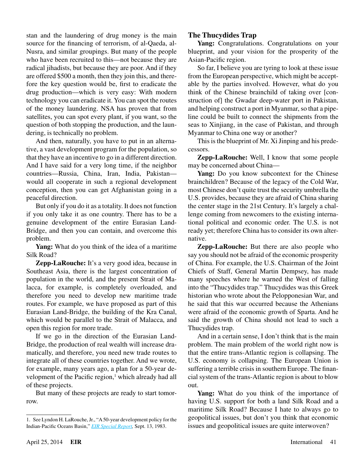stan and the laundering of drug money is the main source for the financing of terrorism, of al-Qaeda, al-Nusra, and similar groupings. But many of the people who have been recruited to this—not because they are radical jihadists, but because they are poor. And if they are offered \$500 a month, then they join this, and therefore the key question would be, first to eradicate the drug production—which is very easy: With modern technology you can eradicate it. You can spot the routes of the money laundering. NSA has proven that from satellites, you can spot every plant, if you want, so the question of both stopping the production, and the laundering, is technically no problem.

And then, naturally, you have to put in an alternative, a vast development program for the population, so that they have an incentive to go in a different direction. And I have said for a very long time, if the neighbor countries—Russia, China, Iran, India, Pakistan would all cooperate in such a regional development conception, then you can get Afghanistan going in a peaceful direction.

But only if you do it as a totality. It does not function if you only take it as one country. There has to be a genuine development of the entire Eurasian Land-Bridge, and then you can contain, and overcome this problem.

**Yang:** What do you think of the idea of a maritime Silk Road?

**Zepp-LaRouche:** It's a very good idea, because in Southeast Asia, there is the largest concentration of population in the world, and the present Strait of Malacca, for example, is completely overloaded, and therefore you need to develop new maritime trade routes. For example, we have proposed as part of this Eurasian Land-Bridge, the building of the Kra Canal, which would be parallel to the Strait of Malacca, and open this region for more trade.

If we go in the direction of the Eurasian Land-Bridge, the production of real wealth will increase dramatically, and therefore, you need new trade routes to integrate all of these countries together. And we wrote, for example, many years ago, a plan for a 50-year development of the Pacific region,<sup>1</sup> which already had all of these projects.

But many of these projects are ready to start tomorrow.

## **The Thucydides Trap**

**Yang:** Congratulations. Congratulations on your blueprint, and your vision for the prosperity of the Asian-Pacific region.

So far, I believe you are tyring to look at these issue from the European perspective, which might be acceptable by the parties involved. However, what do you think of the Chinese brainchild of taking over [construction of] the Gwadar deep-water port in Pakistan, and helping construct a port in Myanmar, so that a pipeline could be built to connect the shipments from the seas to Xinjiang, in the case of Pakistan, and through Myanmar to China one way or another?

This is the blueprint of Mr. Xi Jinping and his predecessors.

**Zepp-LaRouche:** Well, I know that some people may be concerned about China—

**Yang:** Do you know subcontext for the Chinese brainchildren? Because of the legacy of the Cold War, most Chinese don't quite trust the security umbrella the U.S. provides, because they are afraid of China sharing the center stage in the 21st Century. It's largely a challenge coming from newcomers to the existing international political and economic order. The U.S. is not ready yet; therefore China has to consider its own alternative.

**Zepp-LaRouche:** But there are also people who say you should not be afraid of the economic prosperity of China. For example, the U.S. Chairman of the Joint Chiefs of Staff, General Martin Dempsey, has made many speeches where he warned the West of falling into the "Thucydides trap." Thucydides was this Greek historian who wrote about the Pelopponesian War, and he said that this war occurred because the Athenians were afraid of the economic growth of Sparta. And he said the growth of China should not lead to such a Thucydides trap.

And in a certain sense, I don't think that is the main problem. The main problem of the world right now is that the entire trans-Atlantic region is collapsing. The U.S. economy is collapsing. The European Union is suffering a terrible crisis in southern Europe. The financial system of the trans-Atlantic region is about to blow out.

**Yang:** What do you think of the importance of having U.S. support for both a land Silk Road and a maritime Silk Road? Because I hate to always go to geopolitical issues, but don't you think that economic issues and geopolitical issues are quite interwoven?

<sup>1.</sup> See Lyndon H. LaRouche, Jr., "A 50-year development policy for the Indian-Pacific Oceans Basin," *[EIR Special Report,](http://www.larouchepub.com/eiw/public/1983/eirv10n35-19830913/eirv10n35-19830913_018-a_50_year_development_policy_for-lar.pdf)* Sept. 13, 1983.